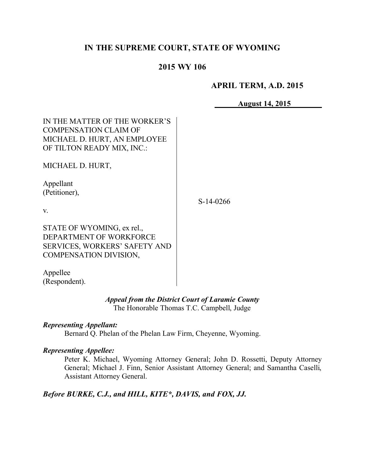# **IN THE SUPREME COURT, STATE OF WYOMING**

# **2015 WY 106**

## **APRIL TERM, A.D. 2015**

**August 14, 2015**

| IN THE MATTER OF THE WORKER'S<br><b>COMPENSATION CLAIM OF</b><br>MICHAEL D. HURT, AN EMPLOYEE<br>OF TILTON READY MIX, INC.:    |           |
|--------------------------------------------------------------------------------------------------------------------------------|-----------|
| MICHAEL D. HURT,                                                                                                               |           |
| Appellant<br>(Petitioner),                                                                                                     | S-14-0266 |
| V.                                                                                                                             |           |
| STATE OF WYOMING, ex rel.,<br>DEPARTMENT OF WORKFORCE<br><b>SERVICES, WORKERS' SAFETY AND</b><br><b>COMPENSATION DIVISION,</b> |           |
| Appellee<br>(Respondent).                                                                                                      |           |

*Appeal from the District Court of Laramie County* The Honorable Thomas T.C. Campbell, Judge

*Representing Appellant:* Bernard Q. Phelan of the Phelan Law Firm, Cheyenne, Wyoming.

#### *Representing Appellee:*

Peter K. Michael, Wyoming Attorney General; John D. Rossetti, Deputy Attorney General; Michael J. Finn, Senior Assistant Attorney General; and Samantha Caselli, Assistant Attorney General.

*Before BURKE, C.J., and HILL, KITE\*, DAVIS, and FOX, JJ.*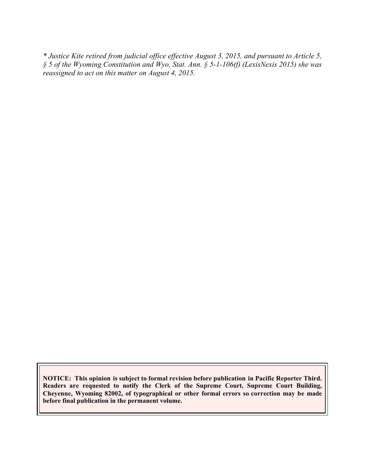*\* Justice Kite retired from judicial office effective August 3, 2015, and pursuant to Article 5, § 5 of the Wyoming Constitution and Wyo. Stat. Ann. § 5-1-106(f) (LexisNexis 2015) she was reassigned to act on this matter on August 4, 2015.*

**NOTICE: This opinion is subject to formal revision before publication in Pacific Reporter Third. Readers are requested to notify the Clerk of the Supreme Court, Supreme Court Building, Cheyenne, Wyoming 82002, of typographical or other formal errors so correction may be made before final publication in the permanent volume.**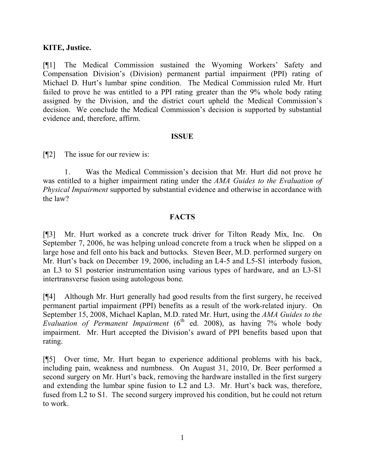## **KITE, Justice.**

[¶1] The Medical Commission sustained the Wyoming Workers' Safety and Compensation Division's (Division) permanent partial impairment (PPI) rating of Michael D. Hurt's lumbar spine condition. The Medical Commission ruled Mr. Hurt failed to prove he was entitled to a PPI rating greater than the 9% whole body rating assigned by the Division, and the district court upheld the Medical Commission's decision. We conclude the Medical Commission's decision is supported by substantial evidence and, therefore, affirm.

#### **ISSUE**

[¶2] The issue for our review is:

1. Was the Medical Commission's decision that Mr. Hurt did not prove he was entitled to a higher impairment rating under the *AMA Guides to the Evaluation of Physical Impairment* supported by substantial evidence and otherwise in accordance with the law?

#### **FACTS**

[¶3] Mr. Hurt worked as a concrete truck driver for Tilton Ready Mix, Inc. On September 7, 2006, he was helping unload concrete from a truck when he slipped on a large hose and fell onto his back and buttocks. Steven Beer, M.D. performed surgery on Mr. Hurt's back on December 19, 2006, including an L4-5 and L5-S1 interbody fusion, an L3 to S1 posterior instrumentation using various types of hardware, and an L3-S1 intertransverse fusion using autologous bone.

[¶4] Although Mr. Hurt generally had good results from the first surgery, he received permanent partial impairment (PPI) benefits as a result of the work-related injury. On September 15, 2008, Michael Kaplan, M.D. rated Mr. Hurt, using the *AMA Guides to the Evaluation of Permanent Impairment* (6<sup>th</sup> ed. 2008), as having 7% whole body impairment. Mr. Hurt accepted the Division's award of PPI benefits based upon that rating.

[¶5] Over time, Mr. Hurt began to experience additional problems with his back, including pain, weakness and numbness. On August 31, 2010, Dr. Beer performed a second surgery on Mr. Hurt's back, removing the hardware installed in the first surgery and extending the lumbar spine fusion to L2 and L3. Mr. Hurt's back was, therefore, fused from L2 to S1. The second surgery improved his condition, but he could not return to work.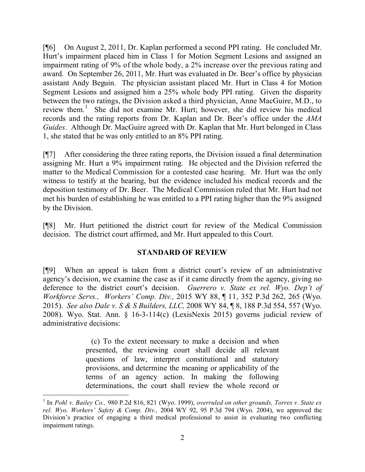[¶6] On August 2, 2011, Dr. Kaplan performed a second PPI rating. He concluded Mr. Hurt's impairment placed him in Class 1 for Motion Segment Lesions and assigned an impairment rating of 9% of the whole body, a 2% increase over the previous rating and award. On September 26, 2011, Mr. Hurt was evaluated in Dr. Beer's office by physician assistant Andy Beguin. The physician assistant placed Mr. Hurt in Class 4 for Motion Segment Lesions and assigned him a 25% whole body PPI rating. Given the disparity between the two ratings, the Division asked a third physician, Anne MacGuire, M.D., to review them.<sup>1</sup> She did not examine Mr. Hurt; however, she did review his medical records and the rating reports from Dr. Kaplan and Dr. Beer's office under the *AMA Guides*. Although Dr. MacGuire agreed with Dr. Kaplan that Mr. Hurt belonged in Class 1, she stated that he was only entitled to an 8% PPI rating.

[¶7] After considering the three rating reports, the Division issued a final determination assigning Mr. Hurt a 9% impairment rating. He objected and the Division referred the matter to the Medical Commission for a contested case hearing. Mr. Hurt was the only witness to testify at the hearing, but the evidence included his medical records and the deposition testimony of Dr. Beer. The Medical Commission ruled that Mr. Hurt had not met his burden of establishing he was entitled to a PPI rating higher than the 9% assigned by the Division.

[¶8] Mr. Hurt petitioned the district court for review of the Medical Commission decision. The district court affirmed, and Mr. Hurt appealed to this Court.

# **STANDARD OF REVIEW**

[¶9] When an appeal is taken from a district court's review of an administrative agency's decision, we examine the case as if it came directly from the agency, giving no deference to the district court's decision. *Guerrero v. State ex rel. Wyo. Dep't of Workforce Servs., Workers' Comp. Div.,* 2015 WY 88, ¶ 11, 352 P.3d 262, 265 (Wyo. 2015). *See also Dale v. S & S Builders, LLC,* 2008 WY 84, ¶ 8, 188 P.3d 554, 557 (Wyo. 2008). Wyo. Stat. Ann. § 16-3-114(c) (LexisNexis 2015) governs judicial review of administrative decisions:

> (c) To the extent necessary to make a decision and when presented, the reviewing court shall decide all relevant questions of law, interpret constitutional and statutory provisions, and determine the meaning or applicability of the terms of an agency action. In making the following determinations, the court shall review the whole record or

 $\overline{a}$ 

<sup>1</sup> In *Pohl v. Bailey Co.,* 980 P.2d 816, 821 (Wyo. 1999), *overruled on other grounds, Torres v. State ex rel. Wyo. Workers' Safety & Comp. Div.,* 2004 WY 92, 95 P.3d 794 (Wyo. 2004), we approved the Division's practice of engaging a third medical professional to assist in evaluating two conflicting impairment ratings.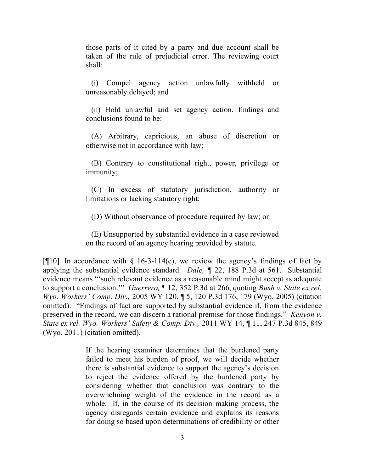those parts of it cited by a party and due account shall be taken of the rule of prejudicial error. The reviewing court shall:

(i) Compel agency action unlawfully withheld or unreasonably delayed; and

(ii) Hold unlawful and set agency action, findings and conclusions found to be:

(A) Arbitrary, capricious, an abuse of discretion or otherwise not in accordance with law;

(B) Contrary to constitutional right, power, privilege or immunity;

(C) In excess of statutory jurisdiction, authority or limitations or lacking statutory right;

(D) Without observance of procedure required by law; or

(E) Unsupported by substantial evidence in a case reviewed on the record of an agency hearing provided by statute.

[ $[10]$ ] In accordance with § 16-3-114(c), we review the agency's findings of fact by applying the substantial evidence standard. *Dale, ¶* 22, 188 P.3d at 561. Substantial evidence means "'such relevant evidence as a reasonable mind might accept as adequate to support a conclusion.'" *Guerrero,* ¶ 12, 352 P.3d at 266, quoting *Bush v. State ex rel. Wyo. Workers' Comp. Div.,* 2005 WY 120, ¶ 5, 120 P.3d 176, 179 (Wyo. 2005) (citation omitted). "Findings of fact are supported by substantial evidence if, from the evidence preserved in the record, we can discern a rational premise for those findings." *Kenyon v. State ex rel. Wyo. Workers' Safety & Comp. Div.,* 2011 WY 14, ¶ 11, 247 P.3d 845, 849 (Wyo. 2011) (citation omitted).

> If the hearing examiner determines that the burdened party failed to meet his burden of proof, we will decide whether there is substantial evidence to support the agency's decision to reject the evidence offered by the burdened party by considering whether that conclusion was contrary to the overwhelming weight of the evidence in the record as a whole. If, in the course of its decision making process, the agency disregards certain evidence and explains its reasons for doing so based upon determinations of credibility or other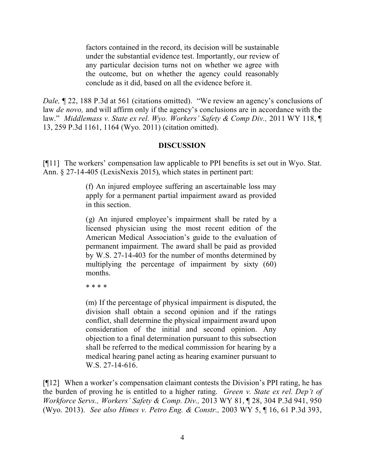factors contained in the record, its decision will be sustainable under the substantial evidence test. Importantly, our review of any particular decision turns not on whether we agree with the outcome, but on whether the agency could reasonably conclude as it did, based on all the evidence before it.

*Dale*,  $\sqrt{22}$ , 188 P.3d at 561 (citations omitted). "We review an agency's conclusions of law *de novo,* and will affirm only if the agency's conclusions are in accordance with the law." *Middlemass v. State ex rel. Wyo. Workers' Safety & Comp Div.,* 2011 WY 118, ¶ 13, 259 P.3d 1161, 1164 (Wyo. 2011) (citation omitted).

#### **DISCUSSION**

[¶11] The workers' compensation law applicable to PPI benefits is set out in Wyo. Stat. Ann. § 27-14-405 (LexisNexis 2015), which states in pertinent part:

> (f) An injured employee suffering an ascertainable loss may apply for a permanent partial impairment award as provided in this section.

> (g) An injured employee's impairment shall be rated by a licensed physician using the most recent edition of the American Medical Association's guide to the evaluation of permanent impairment. The award shall be paid as provided by W.S. 27-14-403 for the number of months determined by multiplying the percentage of impairment by sixty (60) months.

\* \* \* \*

(m) If the percentage of physical impairment is disputed, the division shall obtain a second opinion and if the ratings conflict, shall determine the physical impairment award upon consideration of the initial and second opinion. Any objection to a final determination pursuant to this subsection shall be referred to the medical commission for hearing by a medical hearing panel acting as hearing examiner pursuant to W.S. 27-14-616.

[¶12] When a worker's compensation claimant contests the Division's PPI rating, he has the burden of proving he is entitled to a higher rating. *Green v. State ex rel. Dep't of Workforce Servs., Workers' Safety & Comp. Div.,* 2013 WY 81, ¶ 28, 304 P.3d 941, 950 (Wyo. 2013). *See also Himes v. Petro Eng. & Constr.,* 2003 WY 5, ¶ 16, 61 P.3d 393,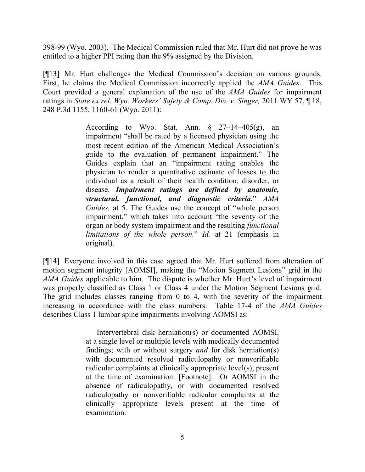398-99 (Wyo. 2003). The Medical Commission ruled that Mr. Hurt did not prove he was entitled to a higher PPI rating than the 9% assigned by the Division.

[¶13] Mr. Hurt challenges the Medical Commission's decision on various grounds. First, he claims the Medical Commission incorrectly applied the *AMA Guides*. This Court provided a general explanation of the use of the *AMA Guides* for impairment ratings in *State ex rel. Wyo. Workers' Safety & Comp. Div. v. Singer,* 2011 WY 57, ¶ 18, 248 P.3d 1155, 1160-61 (Wyo. 2011):

> According to Wyo. Stat. Ann.  $\S$  27–14–405(g), an impairment "shall be rated by a licensed physician using the most recent edition of the American Medical Association's guide to the evaluation of permanent impairment." The Guides explain that an "impairment rating enables the physician to render a quantitative estimate of losses to the individual as a result of their health condition, disorder, or disease. *Impairment ratings are defined by anatomic, structural, functional, and diagnostic criteria.*" *AMA Guides,* at 5. The Guides use the concept of "whole person impairment," which takes into account "the severity of the organ or body system impairment and the resulting *functional limitations of the whole person.*" *Id.* at 21 (emphasis in original).

[¶14] Everyone involved in this case agreed that Mr. Hurt suffered from alteration of motion segment integrity [AOMSI], making the "Motion Segment Lesions" grid in the *AMA Guides* applicable to him. The dispute is whether Mr. Hurt's level of impairment was properly classified as Class 1 or Class 4 under the Motion Segment Lesions grid. The grid includes classes ranging from 0 to 4, with the severity of the impairment increasing in accordance with the class numbers. Table 17-4 of the *AMA Guides* describes Class 1 lumbar spine impairments involving AOMSI as:

> Intervertebral disk herniation(s) or documented AOMSI, at a single level or multiple levels with medically documented findings; with or without surgery *and* for disk herniation(s) with documented resolved radiculopathy or nonverifiable radicular complaints at clinically appropriate level(s), present at the time of examination. [Footnote]: Or AOMSI in the absence of radiculopathy, or with documented resolved radiculopathy or nonverifiable radicular complaints at the clinically appropriate levels present at the time of examination.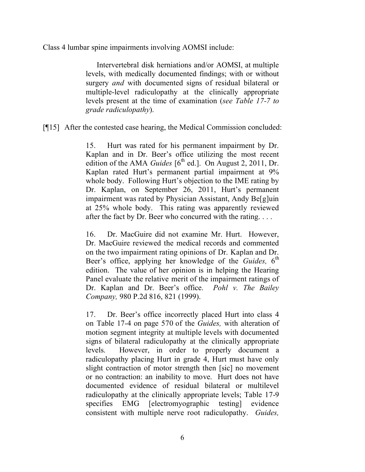Class 4 lumbar spine impairments involving AOMSI include:

Intervertebral disk herniations and/or AOMSI, at multiple levels, with medically documented findings; with or without surgery *and* with documented signs of residual bilateral or multiple-level radiculopathy at the clinically appropriate levels present at the time of examination (*see Table 17-7 to grade radiculopathy*).

[¶15] After the contested case hearing, the Medical Commission concluded:

15. Hurt was rated for his permanent impairment by Dr. Kaplan and in Dr. Beer's office utilizing the most recent edition of the AMA *Guides*  $[6^{\text{th}}$  ed.]. On August 2, 2011, Dr. Kaplan rated Hurt's permanent partial impairment at 9% whole body. Following Hurt's objection to the IME rating by Dr. Kaplan, on September 26, 2011, Hurt's permanent impairment was rated by Physician Assistant, Andy Be[g]uin at 25% whole body. This rating was apparently reviewed after the fact by Dr. Beer who concurred with the rating. . . .

16. Dr. MacGuire did not examine Mr. Hurt. However, Dr. MacGuire reviewed the medical records and commented on the two impairment rating opinions of Dr. Kaplan and Dr. Beer's office, applying her knowledge of the *Guides*, 6<sup>th</sup> edition. The value of her opinion is in helping the Hearing Panel evaluate the relative merit of the impairment ratings of Dr. Kaplan and Dr. Beer's office. *Pohl v. The Bailey Company,* 980 P.2d 816, 821 (1999).

17. Dr. Beer's office incorrectly placed Hurt into class 4 on Table 17-4 on page 570 of the *Guides,* with alteration of motion segment integrity at multiple levels with documented signs of bilateral radiculopathy at the clinically appropriate levels. However, in order to properly document a radiculopathy placing Hurt in grade 4, Hurt must have only slight contraction of motor strength then [sic] no movement or no contraction: an inability to move. Hurt does not have documented evidence of residual bilateral or multilevel radiculopathy at the clinically appropriate levels; Table 17-9 specifies EMG [electromyographic testing] evidence consistent with multiple nerve root radiculopathy. *Guides,*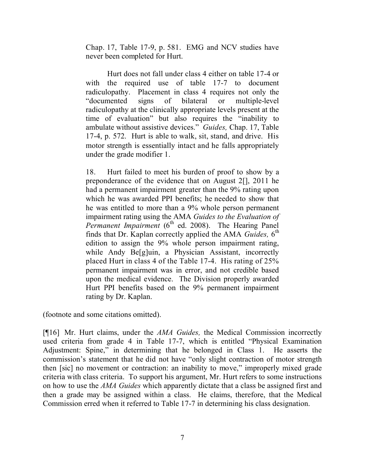Chap. 17, Table 17-9, p. 581. EMG and NCV studies have never been completed for Hurt.

Hurt does not fall under class 4 either on table 17-4 or with the required use of table 17-7 to document radiculopathy. Placement in class 4 requires not only the "documented signs of bilateral or multiple-level radiculopathy at the clinically appropriate levels present at the time of evaluation" but also requires the "inability to ambulate without assistive devices." *Guides,* Chap. 17, Table 17-4, p. 572. Hurt is able to walk, sit, stand, and drive. His motor strength is essentially intact and he falls appropriately under the grade modifier 1.

18. Hurt failed to meet his burden of proof to show by a preponderance of the evidence that on August 2[], 2011 he had a permanent impairment greater than the 9% rating upon which he was awarded PPI benefits; he needed to show that he was entitled to more than a 9% whole person permanent impairment rating using the AMA *Guides to the Evaluation of*  Permanent Impairment (6<sup>th</sup> ed. 2008). The Hearing Panel finds that Dr. Kaplan correctly applied the AMA *Guides*, 6<sup>th</sup> edition to assign the 9% whole person impairment rating, while Andy Be<sup>[g]</sup>uin, a Physician Assistant, incorrectly placed Hurt in class 4 of the Table 17-4. His rating of 25% permanent impairment was in error, and not credible based upon the medical evidence. The Division properly awarded Hurt PPI benefits based on the 9% permanent impairment rating by Dr. Kaplan.

(footnote and some citations omitted).

[¶16] Mr. Hurt claims, under the *AMA Guides,* the Medical Commission incorrectly used criteria from grade 4 in Table 17-7, which is entitled "Physical Examination Adjustment: Spine," in determining that he belonged in Class 1. He asserts the commission's statement that he did not have "only slight contraction of motor strength then [sic] no movement or contraction: an inability to move," improperly mixed grade criteria with class criteria. To support his argument, Mr. Hurt refers to some instructions on how to use the *AMA Guides* which apparently dictate that a class be assigned first and then a grade may be assigned within a class. He claims, therefore, that the Medical Commission erred when it referred to Table 17-7 in determining his class designation.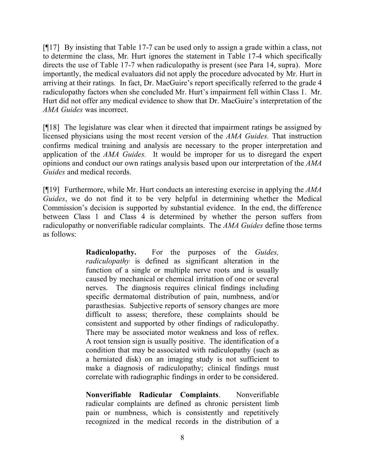[¶17] By insisting that Table 17-7 can be used only to assign a grade within a class, not to determine the class, Mr. Hurt ignores the statement in Table 17-4 which specifically directs the use of Table 17-7 when radiculopathy is present (see Para 14, supra). More importantly, the medical evaluators did not apply the procedure advocated by Mr. Hurt in arriving at their ratings. In fact, Dr. MacGuire's report specifically referred to the grade 4 radiculopathy factors when she concluded Mr. Hurt's impairment fell within Class 1. Mr. Hurt did not offer any medical evidence to show that Dr. MacGuire's interpretation of the *AMA Guides* was incorrect.

[¶18] The legislature was clear when it directed that impairment ratings be assigned by licensed physicians using the most recent version of the *AMA Guides.* That instruction confirms medical training and analysis are necessary to the proper interpretation and application of the *AMA Guides.* It would be improper for us to disregard the expert opinions and conduct our own ratings analysis based upon our interpretation of the *AMA Guides* and medical records.

[¶19] Furthermore, while Mr. Hurt conducts an interesting exercise in applying the *AMA Guides*, we do not find it to be very helpful in determining whether the Medical Commission's decision is supported by substantial evidence. In the end, the difference between Class 1 and Class 4 is determined by whether the person suffers from radiculopathy or nonverifiable radicular complaints. The *AMA Guides* define those terms as follows:

> **Radiculopathy.** For the purposes of the *Guides, radiculopathy* is defined as significant alteration in the function of a single or multiple nerve roots and is usually caused by mechanical or chemical irritation of one or several nerves. The diagnosis requires clinical findings including specific dermatomal distribution of pain, numbness, and/or parasthesias. Subjective reports of sensory changes are more difficult to assess; therefore, these complaints should be consistent and supported by other findings of radiculopathy. There may be associated motor weakness and loss of reflex. A root tension sign is usually positive. The identification of a condition that may be associated with radiculopathy (such as a herniated disk) on an imaging study is not sufficient to make a diagnosis of radiculopathy; clinical findings must correlate with radiographic findings in order to be considered.

> **Nonverifiable Radicular Complaints**. Nonverifiable radicular complaints are defined as chronic persistent limb pain or numbness, which is consistently and repetitively recognized in the medical records in the distribution of a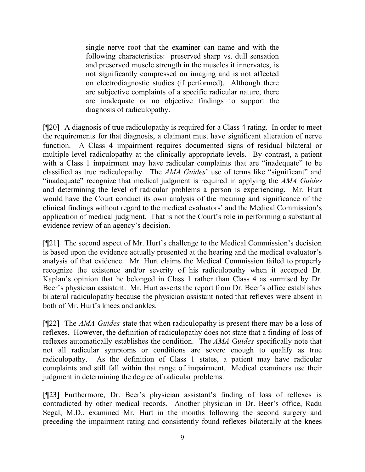single nerve root that the examiner can name and with the following characteristics: preserved sharp vs. dull sensation and preserved muscle strength in the muscles it innervates, is not significantly compressed on imaging and is not affected on electrodiagnostic studies (if performed). Although there are subjective complaints of a specific radicular nature, there are inadequate or no objective findings to support the diagnosis of radiculopathy.

[¶20] A diagnosis of true radiculopathy is required for a Class 4 rating. In order to meet the requirements for that diagnosis, a claimant must have significant alteration of nerve function. A Class 4 impairment requires documented signs of residual bilateral or multiple level radiculopathy at the clinically appropriate levels. By contrast, a patient with a Class 1 impairment may have radicular complaints that are "inadequate" to be classified as true radiculopathy. The *AMA Guides*' use of terms like "significant" and "inadequate" recognize that medical judgment is required in applying the *AMA Guides* and determining the level of radicular problems a person is experiencing. Mr. Hurt would have the Court conduct its own analysis of the meaning and significance of the clinical findings without regard to the medical evaluators' and the Medical Commission's application of medical judgment. That is not the Court's role in performing a substantial evidence review of an agency's decision.

[¶21] The second aspect of Mr. Hurt's challenge to the Medical Commission's decision is based upon the evidence actually presented at the hearing and the medical evaluator's analysis of that evidence. Mr. Hurt claims the Medical Commission failed to properly recognize the existence and/or severity of his radiculopathy when it accepted Dr. Kaplan's opinion that he belonged in Class 1 rather than Class 4 as surmised by Dr. Beer's physician assistant. Mr. Hurt asserts the report from Dr. Beer's office establishes bilateral radiculopathy because the physician assistant noted that reflexes were absent in both of Mr. Hurt's knees and ankles.

[¶22] The *AMA Guides* state that when radiculopathy is present there may be a loss of reflexes. However, the definition of radiculopathy does not state that a finding of loss of reflexes automatically establishes the condition. The *AMA* G*uides* specifically note that not all radicular symptoms or conditions are severe enough to qualify as true radiculopathy. As the definition of Class 1 states, a patient may have radicular complaints and still fall within that range of impairment. Medical examiners use their judgment in determining the degree of radicular problems.

[¶23] Furthermore, Dr. Beer's physician assistant's finding of loss of reflexes is contradicted by other medical records. Another physician in Dr. Beer's office, Radu Segal, M.D., examined Mr. Hurt in the months following the second surgery and preceding the impairment rating and consistently found reflexes bilaterally at the knees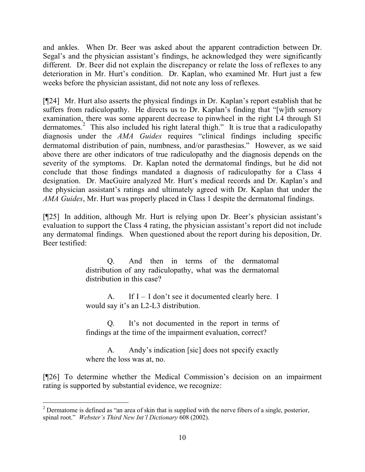and ankles. When Dr. Beer was asked about the apparent contradiction between Dr. Segal's and the physician assistant's findings, he acknowledged they were significantly different. Dr. Beer did not explain the discrepancy or relate the loss of reflexes to any deterioration in Mr. Hurt's condition. Dr. Kaplan, who examined Mr. Hurt just a few weeks before the physician assistant, did not note any loss of reflexes.

[¶24] Mr. Hurt also asserts the physical findings in Dr. Kaplan's report establish that he suffers from radiculopathy. He directs us to Dr. Kaplan's finding that "[w]ith sensory examination, there was some apparent decrease to pinwheel in the right L4 through S1 dermatomes.<sup>2</sup> This also included his right lateral thigh." It is true that a radiculopathy diagnosis under the *AMA Guides* requires "clinical findings including specific dermatomal distribution of pain, numbness, and/or parasthesias." However, as we said above there are other indicators of true radiculopathy and the diagnosis depends on the severity of the symptoms. Dr. Kaplan noted the dermatomal findings, but he did not conclude that those findings mandated a diagnosis of radiculopathy for a Class 4 designation. Dr. MacGuire analyzed Mr. Hurt's medical records and Dr. Kaplan's and the physician assistant's ratings and ultimately agreed with Dr. Kaplan that under the *AMA Guides*, Mr. Hurt was properly placed in Class 1 despite the dermatomal findings.

[¶25] In addition, although Mr. Hurt is relying upon Dr. Beer's physician assistant's evaluation to support the Class 4 rating, the physician assistant's report did not include any dermatomal findings. When questioned about the report during his deposition, Dr. Beer testified:

> Q. And then in terms of the dermatomal distribution of any radiculopathy, what was the dermatomal distribution in this case?

> A. If  $I - I$  don't see it documented clearly here. I would say it's an L2-L3 distribution.

> Q. It's not documented in the report in terms of findings at the time of the impairment evaluation, correct?

> A. Andy's indication [sic] does not specify exactly where the loss was at, no.

[¶26] To determine whether the Medical Commission's decision on an impairment rating is supported by substantial evidence, we recognize:

 <sup>2</sup> Dermatome is defined as "an area of skin that is supplied with the nerve fibers of a single, posterior, spinal root." *Webster's Third New Int'l Dictionary* 608 (2002).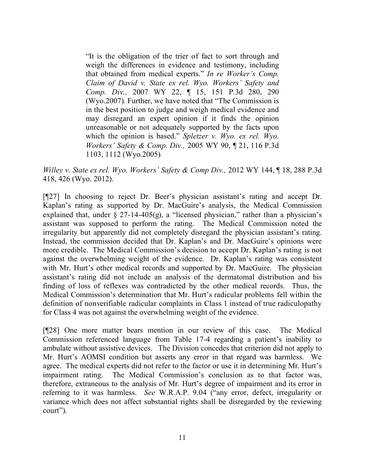"It is the obligation of the trier of fact to sort through and weigh the differences in evidence and testimony, including that obtained from medical experts." *In re Worker's Comp. Claim of David v. State ex rel. Wyo. Workers' Safety and Comp. Div.,* 2007 WY 22, ¶ 15, 151 P.3d 280, 290 (Wyo.2007). Further, we have noted that "The Commission is in the best position to judge and weigh medical evidence and may disregard an expert opinion if it finds the opinion unreasonable or not adequately supported by the facts upon which the opinion is based." *Spletzer v. Wyo. ex rel. Wyo. Workers' Safety & Comp. Div.,* 2005 WY 90, ¶ 21, 116 P.3d 1103, 1112 (Wyo.2005).

*Willey v. State ex rel. Wyo. Workers' Safety & Comp Div., 2012 WY 144,* 18, 288 P.3d 418, 426 (Wyo. 2012).

[¶27] In choosing to reject Dr. Beer's physician assistant's rating and accept Dr. Kaplan's rating as supported by Dr. MacGuire's analysis, the Medical Commission explained that, under  $\S$  27-14-405(g), a "licensed physician," rather than a physician's assistant was supposed to perform the rating. The Medical Commission noted the irregularity but apparently did not completely disregard the physician assistant's rating. Instead, the commission decided that Dr. Kaplan's and Dr. MacGuire's opinions were more credible. The Medical Commission's decision to accept Dr. Kaplan's rating is not against the overwhelming weight of the evidence. Dr. Kaplan's rating was consistent with Mr. Hurt's other medical records and supported by Dr. MacGuire. The physician assistant's rating did not include an analysis of the dermatomal distribution and his finding of loss of reflexes was contradicted by the other medical records. Thus, the Medical Commission's determination that Mr. Hurt's radicular problems fell within the definition of nonverifiable radicular complaints in Class 1 instead of true radiculopathy for Class 4 was not against the overwhelming weight of the evidence.

[¶28] One more matter bears mention in our review of this case. The Medical Commission referenced language from Table 17-4 regarding a patient's inability to ambulate without assistive devices. The Division concedes that criterion did not apply to Mr. Hurt's AOMSI condition but asserts any error in that regard was harmless. We agree. The medical experts did not refer to the factor or use it in determining Mr. Hurt's impairment rating. The Medical Commission's conclusion as to that factor was, therefore, extraneous to the analysis of Mr. Hurt's degree of impairment and its error in referring to it was harmless. *See* W.R.A.P. 9.04 ("any error, defect, irregularity or variance which does not affect substantial rights shall be disregarded by the reviewing court").